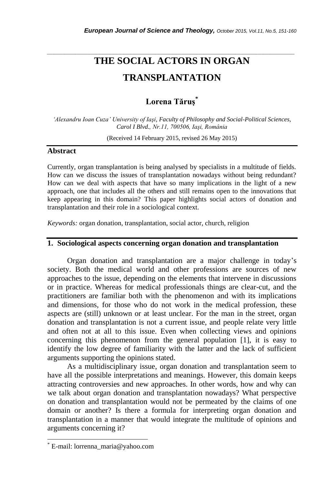# **THE SOCIAL ACTORS IN ORGAN TRANSPLANTATION**

*\_\_\_\_\_\_\_\_\_\_\_\_\_\_\_\_\_\_\_\_\_\_\_\_\_\_\_\_\_\_\_\_\_\_\_\_\_\_\_\_\_\_\_\_\_\_\_\_\_\_\_\_\_\_\_\_\_\_\_\_\_\_\_\_\_\_\_\_\_\_\_*

# **Lorena Tăruş\***

*'Alexandru Ioan Cuza' University of Iaşi, Faculty of Philosophy and Social-Political Sciences, Carol I Blvd., Nr.11, 700506, Iaşi, România*

(Received 14 February 2015, revised 26 May 2015)

## **Abstract**

Currently, organ transplantation is being analysed by specialists in a multitude of fields. How can we discuss the issues of transplantation nowadays without being redundant? How can we deal with aspects that have so many implications in the light of a new approach, one that includes all the others and still remains open to the innovations that keep appearing in this domain? This paper highlights social actors of donation and transplantation and their role in a sociological context.

*Keywords:* organ donation, transplantation, social actor, church, religion

#### **1. Sociological aspects concerning organ donation and transplantation**

Organ donation and transplantation are a major challenge in today"s society. Both the medical world and other professions are sources of new approaches to the issue, depending on the elements that intervene in discussions or in practice. Whereas for medical professionals things are clear-cut, and the practitioners are familiar both with the phenomenon and with its implications and dimensions, for those who do not work in the medical profession, these aspects are (still) unknown or at least unclear. For the man in the street, organ donation and transplantation is not a current issue, and people relate very little and often not at all to this issue. Even when collecting views and opinions concerning this phenomenon from the general population [1], it is easy to identify the low degree of familiarity with the latter and the lack of sufficient arguments supporting the opinions stated.

As a multidisciplinary issue, organ donation and transplantation seem to have all the possible interpretations and meanings. However, this domain keeps attracting controversies and new approaches. In other words, how and why can we talk about organ donation and transplantation nowadays? What perspective on donation and transplantation would not be permeated by the claims of one domain or another? Is there a formula for interpreting organ donation and transplantation in a manner that would integrate the multitude of opinions and arguments concerning it?

l

E-mail: lorrenna\_maria@yahoo.com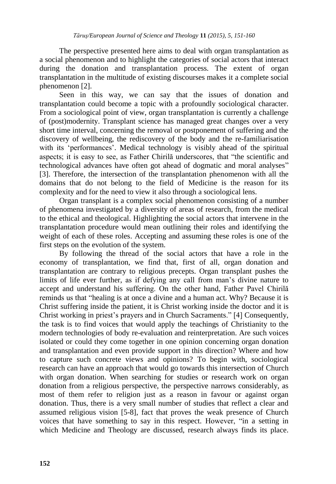The perspective presented here aims to deal with organ transplantation as a social phenomenon and to highlight the categories of social actors that interact during the donation and transplantation process. The extent of organ transplantation in the multitude of existing discourses makes it a complete social phenomenon [2].

Seen in this way, we can say that the issues of donation and transplantation could become a topic with a profoundly sociological character. From a sociological point of view, organ transplantation is currently a challenge of (post)modernity. Transplant science has managed great changes over a very short time interval, concerning the removal or postponement of suffering and the discovery of wellbeing, the rediscovery of the body and the re-familiarisation with its 'performances'. Medical technology is visibly ahead of the spiritual aspects; it is easy to see, as Father Chirilă underscores, that "the scientific and technological advances have often got ahead of dogmatic and moral analyses" [3]. Therefore, the intersection of the transplantation phenomenon with all the domains that do not belong to the field of Medicine is the reason for its complexity and for the need to view it also through a sociological lens.

Organ transplant is a complex social phenomenon consisting of a number of phenomena investigated by a diversity of areas of research, from the medical to the ethical and theological. Highlighting the social actors that intervene in the transplantation procedure would mean outlining their roles and identifying the weight of each of these roles. Accepting and assuming these roles is one of the first steps on the evolution of the system.

By following the thread of the social actors that have a role in the economy of transplantation, we find that, first of all, organ donation and transplantation are contrary to religious precepts. Organ transplant pushes the limits of life ever further, as if defying any call from man"s divine nature to accept and understand his suffering. On the other hand, Father Pavel Chirilă reminds us that "healing is at once a divine and a human act. Why? Because it is Christ suffering inside the patient, it is Christ working inside the doctor and it is Christ working in priest's prayers and in Church Sacraments." [4] Consequently, the task is to find voices that would apply the teachings of Christianity to the modern technologies of body re-evaluation and reinterpretation. Are such voices isolated or could they come together in one opinion concerning organ donation and transplantation and even provide support in this direction? Where and how to capture such concrete views and opinions? To begin with, sociological research can have an approach that would go towards this intersection of Church with organ donation. When searching for studies or research work on organ donation from a religious perspective, the perspective narrows considerably, as most of them refer to religion just as a reason in favour or against organ donation. Thus, there is a very small number of studies that reflect a clear and assumed religious vision [5-8], fact that proves the weak presence of Church voices that have something to say in this respect. However, "in a setting in which Medicine and Theology are discussed, research always finds its place.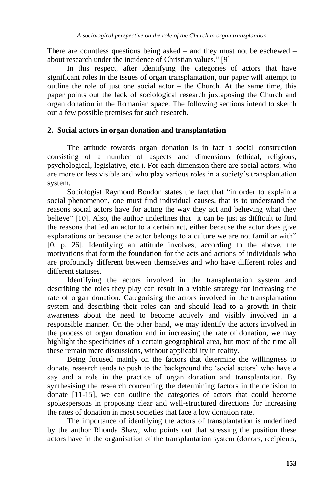There are countless questions being asked – and they must not be eschewed – about research under the incidence of Christian values." [9]

In this respect, after identifying the categories of actors that have significant roles in the issues of organ transplantation, our paper will attempt to outline the role of just one social actor – the Church. At the same time, this paper points out the lack of sociological research juxtaposing the Church and organ donation in the Romanian space. The following sections intend to sketch out a few possible premises for such research.

#### **2. Social actors in organ donation and transplantation**

The attitude towards organ donation is in fact a social construction consisting of a number of aspects and dimensions (ethical, religious, psychological, legislative, etc.). For each dimension there are social actors, who are more or less visible and who play various roles in a society"s transplantation system.

Sociologist Raymond Boudon states the fact that "in order to explain a social phenomenon, one must find individual causes, that is to understand the reasons social actors have for acting the way they act and believing what they believe" [10]. Also, the author underlines that "it can be just as difficult to find the reasons that led an actor to a certain act, either because the actor does give explanations or because the actor belongs to a culture we are not familiar with" [0, p. 26]. Identifying an attitude involves, according to the above, the motivations that form the foundation for the acts and actions of individuals who are profoundly different between themselves and who have different roles and different statuses.

Identifying the actors involved in the transplantation system and describing the roles they play can result in a viable strategy for increasing the rate of organ donation. Categorising the actors involved in the transplantation system and describing their roles can and should lead to a growth in their awareness about the need to become actively and visibly involved in a responsible manner. On the other hand, we may identify the actors involved in the process of organ donation and in increasing the rate of donation, we may highlight the specificities of a certain geographical area, but most of the time all these remain mere discussions, without applicability in reality.

Being focused mainly on the factors that determine the willingness to donate, research tends to push to the background the "social actors" who have a say and a role in the practice of organ donation and transplantation. By synthesising the research concerning the determining factors in the decision to donate [11-15], we can outline the categories of actors that could become spokespersons in proposing clear and well-structured directions for increasing the rates of donation in most societies that face a low donation rate.

The importance of identifying the actors of transplantation is underlined by the author Rhonda Shaw, who points out that stressing the position these actors have in the organisation of the transplantation system (donors, recipients,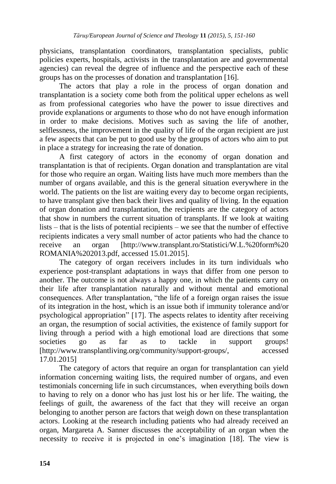physicians, transplantation coordinators, transplantation specialists, public policies experts, hospitals, activists in the transplantation are and governmental agencies) can reveal the degree of influence and the perspective each of these groups has on the processes of donation and transplantation [16].

The actors that play a role in the process of organ donation and transplantation is a society come both from the political upper echelons as well as from professional categories who have the power to issue directives and provide explanations or arguments to those who do not have enough information in order to make decisions. Motives such as saving the life of another, selflessness, the improvement in the quality of life of the organ recipient are just a few aspects that can be put to good use by the groups of actors who aim to put in place a strategy for increasing the rate of donation.

A first category of actors in the economy of organ donation and transplantation is that of recipients. Organ donation and transplantation are vital for those who require an organ. Waiting lists have much more members than the number of organs available, and this is the general situation everywhere in the world. The patients on the list are waiting every day to become organ recipients, to have transplant give then back their lives and quality of living. In the equation of organ donation and transplantation, the recipients are the category of actors that show in numbers the current situation of transplants. If we look at waiting lists – that is the lists of potential recipients – we see that the number of effective recipients indicates a very small number of actor patients who had the chance to receive an organ [http://www.transplant.ro/Statistici/W.L.%20form%20 ROMANIA%202013.pdf, accessed 15.01.2015].

The category of organ receivers includes in its turn individuals who experience post-transplant adaptations in ways that differ from one person to another. The outcome is not always a happy one, in which the patients carry on their life after transplantation naturally and without mental and emotional consequences. After transplantation, "the life of a foreign organ raises the issue of its integration in the host, which is an issue both if immunity tolerance and/or psychological appropriation" [17]. The aspects relates to identity after receiving an organ, the resumption of social activities, the existence of family support for living through a period with a high emotional load are directions that some societies go as far as to tackle in support groups! [http://www.transplantliving.org/community/support-groups/, accessed 17.01.2015]

The category of actors that require an organ for transplantation can yield information concerning waiting lists, the required number of organs, and even testimonials concerning life in such circumstances, when everything boils down to having to rely on a donor who has just lost his or her life. The waiting, the feelings of guilt, the awareness of the fact that they will receive an organ belonging to another person are factors that weigh down on these transplantation actors. Looking at the research including patients who had already received an organ, Margareta A. Sanner discusses the acceptability of an organ when the necessity to receive it is projected in one"s imagination [18]. The view is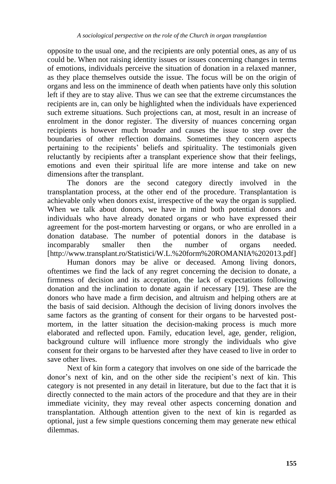opposite to the usual one, and the recipients are only potential ones, as any of us could be. When not raising identity issues or issues concerning changes in terms of emotions, individuals perceive the situation of donation in a relaxed manner, as they place themselves outside the issue. The focus will be on the origin of organs and less on the imminence of death when patients have only this solution left if they are to stay alive. Thus we can see that the extreme circumstances the recipients are in, can only be highlighted when the individuals have experienced such extreme situations. Such projections can, at most, result in an increase of enrolment in the donor register. The diversity of nuances concerning organ recipients is however much broader and causes the issue to step over the boundaries of other reflection domains. Sometimes they concern aspects pertaining to the recipients' beliefs and spirituality. The testimonials given reluctantly by recipients after a transplant experience show that their feelings, emotions and even their spiritual life are more intense and take on new dimensions after the transplant.

The donors are the second category directly involved in the transplantation process, at the other end of the procedure. Transplantation is achievable only when donors exist, irrespective of the way the organ is supplied. When we talk about donors, we have in mind both potential donors and individuals who have already donated organs or who have expressed their agreement for the post-mortem harvesting or organs, or who are enrolled in a donation database. The number of potential donors in the database is incomparably smaller then the number of organs needed. [http://www.transplant.ro/Statistici/W.L.%20form%20ROMANIA%202013.pdf]

Human donors may be alive or deceased. Among living donors, oftentimes we find the lack of any regret concerning the decision to donate, a firmness of decision and its acceptation, the lack of expectations following donation and the inclination to donate again if necessary [19]. These are the donors who have made a firm decision, and altruism and helping others are at the basis of said decision. Although the decision of living donors involves the same factors as the granting of consent for their organs to be harvested postmortem, in the latter situation the decision-making process is much more elaborated and reflected upon. Family, education level, age, gender, religion, background culture will influence more strongly the individuals who give consent for their organs to be harvested after they have ceased to live in order to save other lives.

Next of kin form a category that involves on one side of the barricade the donor's next of kin, and on the other side the recipient's next of kin. This category is not presented in any detail in literature, but due to the fact that it is directly connected to the main actors of the procedure and that they are in their immediate vicinity, they may reveal other aspects concerning donation and transplantation. Although attention given to the next of kin is regarded as optional, just a few simple questions concerning them may generate new ethical dilemmas.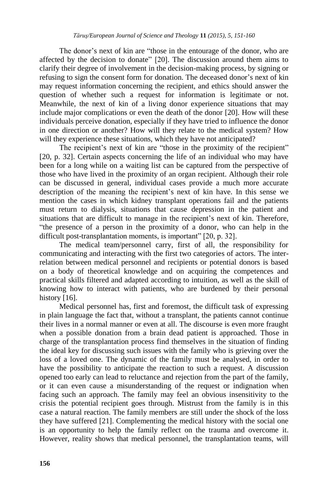The donor's next of kin are "those in the entourage of the donor, who are affected by the decision to donate" [20]. The discussion around them aims to clarify their degree of involvement in the decision-making process, by signing or refusing to sign the consent form for donation. The deceased donor"s next of kin may request information concerning the recipient, and ethics should answer the question of whether such a request for information is legitimate or not. Meanwhile, the next of kin of a living donor experience situations that may include major complications or even the death of the donor [20]. How will these individuals perceive donation, especially if they have tried to influence the donor in one direction or another? How will they relate to the medical system? How will they experience these situations, which they have not anticipated?

The recipient's next of kin are "those in the proximity of the recipient" [20, p. 32]. Certain aspects concerning the life of an individual who may have been for a long while on a waiting list can be captured from the perspective of those who have lived in the proximity of an organ recipient. Although their role can be discussed in general, individual cases provide a much more accurate description of the meaning the recipient's next of kin have. In this sense we mention the cases in which kidney transplant operations fail and the patients must return to dialysis, situations that cause depression in the patient and situations that are difficult to manage in the recipient's next of kin. Therefore, "the presence of a person in the proximity of a donor, who can help in the difficult post-transplantation moments, is important" [20, p. 32].

The medical team/personnel carry, first of all, the responsibility for communicating and interacting with the first two categories of actors. The interrelation between medical personnel and recipients or potential donors is based on a body of theoretical knowledge and on acquiring the competences and practical skills filtered and adapted according to intuition, as well as the skill of knowing how to interact with patients, who are burdened by their personal history [16].

Medical personnel has, first and foremost, the difficult task of expressing in plain language the fact that, without a transplant, the patients cannot continue their lives in a normal manner or even at all. The discourse is even more fraught when a possible donation from a brain dead patient is approached. Those in charge of the transplantation process find themselves in the situation of finding the ideal key for discussing such issues with the family who is grieving over the loss of a loved one. The dynamic of the family must be analysed, in order to have the possibility to anticipate the reaction to such a request. A discussion opened too early can lead to reluctance and rejection from the part of the family, or it can even cause a misunderstanding of the request or indignation when facing such an approach. The family may feel an obvious insensitivity to the crisis the potential recipient goes through. Mistrust from the family is in this case a natural reaction. The family members are still under the shock of the loss they have suffered [21]. Complementing the medical history with the social one is an opportunity to help the family reflect on the trauma and overcome it. However, reality shows that medical personnel, the transplantation teams, will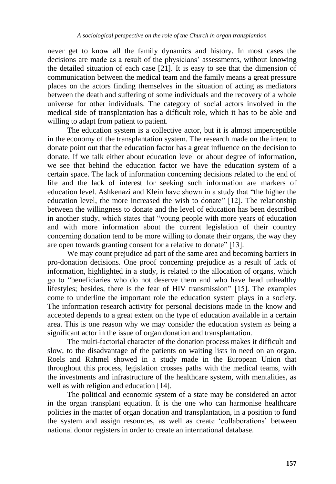never get to know all the family dynamics and history. In most cases the decisions are made as a result of the physicians' assessments, without knowing the detailed situation of each case [21]. It is easy to see that the dimension of communication between the medical team and the family means a great pressure places on the actors finding themselves in the situation of acting as mediators between the death and suffering of some individuals and the recovery of a whole universe for other individuals. The category of social actors involved in the medical side of transplantation has a difficult role, which it has to be able and willing to adapt from patient to patient.

The education system is a collective actor, but it is almost imperceptible in the economy of the transplantation system. The research made on the intent to donate point out that the education factor has a great influence on the decision to donate. If we talk either about education level or about degree of information, we see that behind the education factor we have the education system of a certain space. The lack of information concerning decisions related to the end of life and the lack of interest for seeking such information are markers of education level. Ashkenazi and Klein have shown in a study that "the higher the education level, the more increased the wish to donate" [12]. The relationship between the willingness to donate and the level of education has been described in another study, which states that "young people with more years of education and with more information about the current legislation of their country concerning donation tend to be more willing to donate their organs, the way they are open towards granting consent for a relative to donate" [13].

We may count prejudice ad part of the same area and becoming barriers in pro-donation decisions. One proof concerning prejudice as a result of lack of information, highlighted in a study, is related to the allocation of organs, which go to "beneficiaries who do not deserve them and who have head unhealthy lifestyles; besides, there is the fear of HIV transmission" [15]. The examples come to underline the important role the education system plays in a society. The information research activity for personal decisions made in the know and accepted depends to a great extent on the type of education available in a certain area. This is one reason why we may consider the education system as being a significant actor in the issue of organ donation and transplantation.

The multi-factorial character of the donation process makes it difficult and slow, to the disadvantage of the patients on waiting lists in need on an organ. Roels and Rahmel showed in a study made in the European Union that throughout this process, legislation crosses paths with the medical teams, with the investments and infrastructure of the healthcare system, with mentalities, as well as with religion and education [14].

The political and economic system of a state may be considered an actor in the organ transplant equation. It is the one who can harmonise healthcare policies in the matter of organ donation and transplantation, in a position to fund the system and assign resources, as well as create "collaborations" between national donor registers in order to create an international database.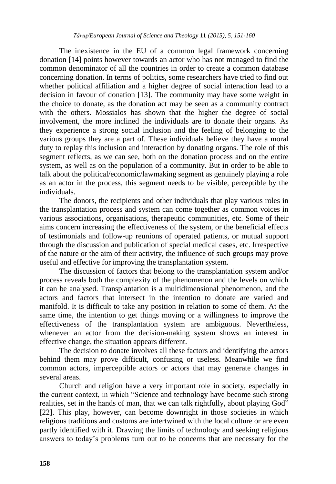The inexistence in the EU of a common legal framework concerning donation [14] points however towards an actor who has not managed to find the common denominator of all the countries in order to create a common database concerning donation. In terms of politics, some researchers have tried to find out whether political affiliation and a higher degree of social interaction lead to a decision in favour of donation [13]. The community may have some weight in the choice to donate, as the donation act may be seen as a community contract with the others. Mossialos has shown that the higher the degree of social involvement, the more inclined the individuals are to donate their organs. As they experience a strong social inclusion and the feeling of belonging to the various groups they are a part of. These individuals believe they have a moral duty to replay this inclusion and interaction by donating organs. The role of this segment reflects, as we can see, both on the donation process and on the entire system, as well as on the population of a community. But in order to be able to talk about the political/economic/lawmaking segment as genuinely playing a role as an actor in the process, this segment needs to be visible, perceptible by the individuals.

The donors, the recipients and other individuals that play various roles in the transplantation process and system can come together as common voices in various associations, organisations, therapeutic communities, etc. Some of their aims concern increasing the effectiveness of the system, or the beneficial effects of testimonials and follow-up reunions of operated patients, or mutual support through the discussion and publication of special medical cases, etc. Irrespective of the nature or the aim of their activity, the influence of such groups may prove useful and effective for improving the transplantation system.

The discussion of factors that belong to the transplantation system and/or process reveals both the complexity of the phenomenon and the levels on which it can be analysed. Transplantation is a multidimensional phenomenon, and the actors and factors that intersect in the intention to donate are varied and manifold. It is difficult to take any position in relation to some of them. At the same time, the intention to get things moving or a willingness to improve the effectiveness of the transplantation system are ambiguous. Nevertheless, whenever an actor from the decision-making system shows an interest in effective change, the situation appears different.

The decision to donate involves all these factors and identifying the actors behind them may prove difficult, confusing or useless. Meanwhile we find common actors, imperceptible actors or actors that may generate changes in several areas.

Church and religion have a very important role in society, especially in the current context, in which "Science and technology have become such strong realities, set in the hands of man, that we can talk rightfully, about playing God" [22]. This play, however, can become downright in those societies in which religious traditions and customs are intertwined with the local culture or are even partly identified with it. Drawing the limits of technology and seeking religious answers to today"s problems turn out to be concerns that are necessary for the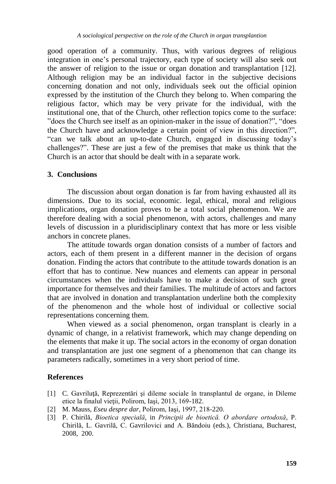good operation of a community. Thus, with various degrees of religious integration in one"s personal trajectory, each type of society will also seek out the answer of religion to the issue or organ donation and transplantation [12]. Although religion may be an individual factor in the subjective decisions concerning donation and not only, individuals seek out the official opinion expressed by the institution of the Church they belong to. When comparing the religious factor, which may be very private for the individual, with the institutional one, that of the Church, other reflection topics come to the surface: "does the Church see itself as an opinion-maker in the issue of donation?", "does the Church have and acknowledge a certain point of view in this direction?", "can we talk about an up-to-date Church, engaged in discussing today"s challenges?". These are just a few of the premises that make us think that the Church is an actor that should be dealt with in a separate work.

#### **3. Conclusions**

The discussion about organ donation is far from having exhausted all its dimensions. Due to its social, economic. legal, ethical, moral and religious implications, organ donation proves to be a total social phenomenon. We are therefore dealing with a social phenomenon, with actors, challenges and many levels of discussion in a pluridisciplinary context that has more or less visible anchors in concrete planes.

The attitude towards organ donation consists of a number of factors and actors, each of them present in a different manner in the decision of organs donation. Finding the actors that contribute to the attitude towards donation is an effort that has to continue. New nuances and elements can appear in personal circumstances when the individuals have to make a decision of such great importance for themselves and their families. The multitude of actors and factors that are involved in donation and transplantation underline both the complexity of the phenomenon and the whole host of individual or collective social representations concerning them.

When viewed as a social phenomenon, organ transplant is clearly in a dynamic of change, in a relativist framework, which may change depending on the elements that make it up. The social actors in the economy of organ donation and transplantation are just one segment of a phenomenon that can change its parameters radically, sometimes in a very short period of time.

## **References**

- [1] C. Gavriluţă, Reprezentări şi dileme sociale în transplantul de organe, in Dileme etice la finalul vieţii, Polirom, Iaşi, 2013, 169-182.
- [2] M. Mauss, *Eseu despre dar*, Polirom, Iaşi, 1997, 218-220.
- [3] P. Chirilă, *Bioetica specială*, in *Principii de bioetică. O abordare ortodoxă*, P. Chirilă, L. Gavrilă, C. Gavrilovici and A. Băndoiu (eds.), Christiana, Bucharest, 2008, 200.